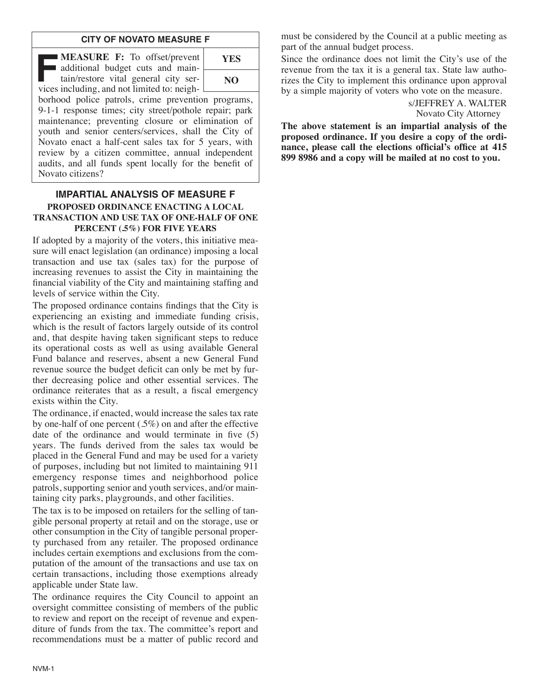#### **CITY OF NOVATO MEASURE F**

**F:** To offset/prevent additional budget cuts and maintain/restore vital general city services including and not limited to: neigh additional budget cuts and maintain/restore vital general city services including, and not limited to: neigh- $\lfloor$ 

| <b>YES</b> |  |
|------------|--|
| NO         |  |

borhood police patrols, crime prevention programs, 9-1-1 response times; city street/pothole repair; park maintenance; preventing closure or elimination of youth and senior centers/services, shall the City of Novato enact a half-cent sales tax for 5 years, with review by a citizen committee, annual independent audits, and all funds spent locally for the benefit of Novato citizens?

#### **IMPARTIAL ANALYSIS OF MEASURE F PROPOSED ORDINANCE ENACTING A LOCAL TRANSACTION AND USE TAX OF ONE-HALF OF ONE PERCENT (.5%) FOR FIVE YEARS**

If adopted by a majority of the voters, this initiative measure will enact legislation (an ordinance) imposing a local transaction and use tax (sales tax) for the purpose of increasing revenues to assist the City in maintaining the financial viability of the City and maintaining staffing and levels of service within the City.

The proposed ordinance contains findings that the City is experiencing an existing and immediate funding crisis, which is the result of factors largely outside of its control and, that despite having taken significant steps to reduce its operational costs as well as using available General Fund balance and reserves, absent a new General Fund revenue source the budget deficit can only be met by further decreasing police and other essential services. The ordinance reiterates that as a result, a fiscal emergency exists within the City.

The ordinance, if enacted, would increase the sales tax rate by one-half of one percent (.5%) on and after the effective date of the ordinance and would terminate in five (5) years. The funds derived from the sales tax would be placed in the General Fund and may be used for a variety of purposes, including but not limited to maintaining 911 emergency response times and neighborhood police patrols, supporting senior and youth services, and/or maintaining city parks, playgrounds, and other facilities.

The tax is to be imposed on retailers for the selling of tangible personal property at retail and on the storage, use or other consumption in the City of tangible personal property purchased from any retailer. The proposed ordinance includes certain exemptions and exclusions from the computation of the amount of the transactions and use tax on certain transactions, including those exemptions already applicable under State law.

The ordinance requires the City Council to appoint an oversight committee consisting of members of the public to review and report on the receipt of revenue and expenditure of funds from the tax. The committee's report and recommendations must be a matter of public record and

must be considered by the Council at a public meeting as part of the annual budget process.

Since the ordinance does not limit the City's use of the revenue from the tax it is a general tax. State law authorizes the City to implement this ordinance upon approval by a simple majority of voters who vote on the measure.

> s/JEFFREY A. WALTER Novato City Attorney

**The above statement is an impartial analysis of the proposed ordinance. If you desire a copy of the ordinance, please call the elections official's office at 415 899 8986 and a copy will be mailed at no cost to you.**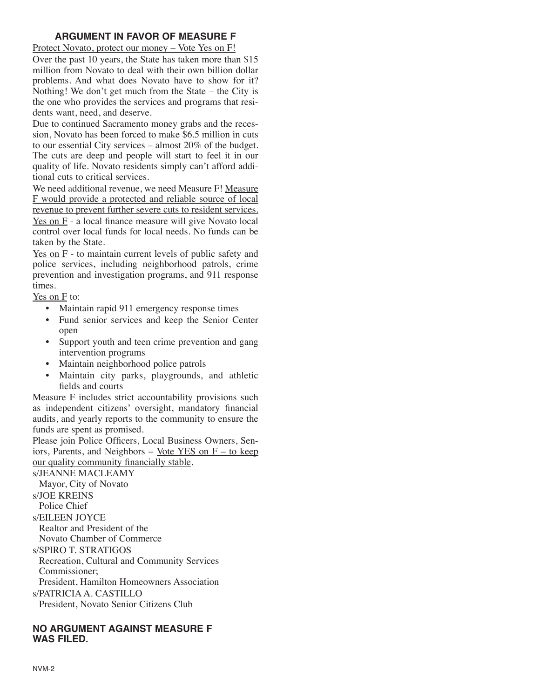## **ARGUMENT IN FAVOR OF MEASURE F**

Protect Novato, protect our money – Vote Yes on F!

Over the past 10 years, the State has taken more than \$15 million from Novato to deal with their own billion dollar problems. And what does Novato have to show for it? Nothing! We don't get much from the State – the City is the one who provides the services and programs that residents want, need, and deserve.

Due to continued Sacramento money grabs and the recession, Novato has been forced to make \$6.5 million in cuts to our essential City services – almost 20% of the budget. The cuts are deep and people will start to feel it in our quality of life. Novato residents simply can't afford additional cuts to critical services.

We need additional revenue, we need Measure F! Measure F would provide a protected and reliable source of local revenue to prevent further severe cuts to resident services. Yes on  $F - a$  local finance measure will give Novato local control over local funds for local needs. No funds can be taken by the State.

Yes on F - to maintain current levels of public safety and police services, including neighborhood patrols, crime prevention and investigation programs, and 911 response times.

Yes on F to:

- Maintain rapid 911 emergency response times
- Fund senior services and keep the Senior Center open
- Support youth and teen crime prevention and gang intervention programs
- Maintain neighborhood police patrols
- Maintain city parks, playgrounds, and athletic fields and courts

Measure F includes strict accountability provisions such as independent citizens' oversight, mandatory financial audits, and yearly reports to the community to ensure the funds are spent as promised.

Please join Police Officers, Local Business Owners, Seniors, Parents, and Neighbors – Vote YES on  $F -$  to keep our quality community financially stable.

s/JEANNE MACLEAMY Mayor, City of Novato s/JOE KREINS Police Chief s/EILEEN JOYCE Realtor and President of the Novato Chamber of Commerce s/SPIRO T. STRATIGOS

Recreation, Cultural and Community Services Commissioner;

President, Hamilton Homeowners Association

s/PATRICIA A. CASTILLO

President, Novato Senior Citizens Club

# **NO ARGUMENT AGAINST MEASURE F WAS FILED.**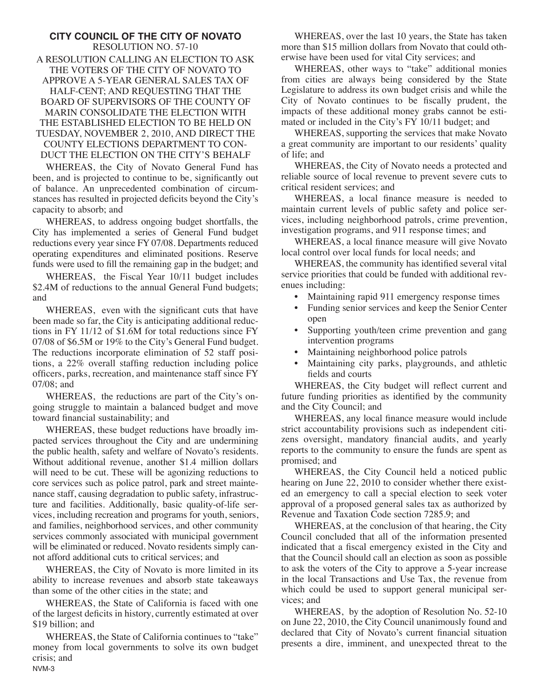#### **CITY COUNCIL OF THE CITY OF NOVATO** RESOLUTION NO. 57-10 A RESOLUTION CALLING AN ELECTION TO ASK THE VOTERS OF THE CITY OF NOVATO TO APPROVE A 5-YEAR GENERAL SALES TAX OF HALF-CENT; AND REQUESTING THAT THE BOARD OF SUPERVISORS OF THE COUNTY OF MARIN CONSOLIDATE THE ELECTION WITH THE ESTABLISHED ELECTION TO BE HELD ON TUESDAY, NOVEMBER 2, 2010, AND DIRECT THE COUNTY ELECTIONS DEPARTMENT TO CON-DUCT THE ELECTION ON THE CITY'S BEHALF

WHEREAS, the City of Novato General Fund has been, and is projected to continue to be, significantly out of balance. An unprecedented combination of circumstances has resulted in projected deficits beyond the City's capacity to absorb; and

WHEREAS, to address ongoing budget shortfalls, the City has implemented a series of General Fund budget reductions every year since FY 07/08. Departments reduced operating expenditures and eliminated positions. Reserve funds were used to fill the remaining gap in the budget; and

WHEREAS, the Fiscal Year 10/11 budget includes \$2.4M of reductions to the annual General Fund budgets; and

WHEREAS, even with the significant cuts that have been made so far, the City is anticipating additional reductions in FY 11/12 of \$1.6M for total reductions since FY 07/08 of \$6.5M or 19% to the City's General Fund budget. The reductions incorporate elimination of 52 staff positions, a 22% overall staffing reduction including police officers, parks, recreation, and maintenance staff since FY 07/08; and

WHEREAS, the reductions are part of the City's ongoing struggle to maintain a balanced budget and move toward financial sustainability; and

WHEREAS, these budget reductions have broadly impacted services throughout the City and are undermining the public health, safety and welfare of Novato's residents. Without additional revenue, another \$1.4 million dollars will need to be cut. These will be agonizing reductions to core services such as police patrol, park and street maintenance staff, causing degradation to public safety, infrastructure and facilities. Additionally, basic quality-of-life services, including recreation and programs for youth, seniors, and families, neighborhood services, and other community services commonly associated with municipal government will be eliminated or reduced. Novato residents simply cannot afford additional cuts to critical services; and

WHEREAS, the City of Novato is more limited in its ability to increase revenues and absorb state takeaways than some of the other cities in the state; and

WHEREAS, the State of California is faced with one of the largest deficits in history, currently estimated at over \$19 billion; and

WHEREAS, the State of California continues to "take" money from local governments to solve its own budget crisis; and NVM-3

WHEREAS, over the last 10 years, the State has taken more than \$15 million dollars from Novato that could otherwise have been used for vital City services; and

WHEREAS, other ways to "take" additional monies from cities are always being considered by the State Legislature to address its own budget crisis and while the City of Novato continues to be fiscally prudent, the impacts of these additional money grabs cannot be estimated or included in the City's FY 10/11 budget; and

WHEREAS, supporting the services that make Novato a great community are important to our residents' quality of life; and

WHEREAS, the City of Novato needs a protected and reliable source of local revenue to prevent severe cuts to critical resident services; and

WHEREAS, a local finance measure is needed to maintain current levels of public safety and police services, including neighborhood patrols, crime prevention, investigation programs, and 911 response times; and

WHEREAS, a local finance measure will give Novato local control over local funds for local needs; and

WHEREAS, the community has identified several vital service priorities that could be funded with additional revenues including:

- Maintaining rapid 911 emergency response times
- Funding senior services and keep the Senior Center open
- Supporting youth/teen crime prevention and gang intervention programs
- Maintaining neighborhood police patrols
- Maintaining city parks, playgrounds, and athletic fields and courts

WHEREAS, the City budget will reflect current and future funding priorities as identified by the community and the City Council; and

WHEREAS, any local finance measure would include strict accountability provisions such as independent citizens oversight, mandatory financial audits, and yearly reports to the community to ensure the funds are spent as promised; and

WHEREAS, the City Council held a noticed public hearing on June 22, 2010 to consider whether there existed an emergency to call a special election to seek voter approval of a proposed general sales tax as authorized by Revenue and Taxation Code section 7285.9; and

WHEREAS, at the conclusion of that hearing, the City Council concluded that all of the information presented indicated that a fiscal emergency existed in the City and that the Council should call an election as soon as possible to ask the voters of the City to approve a 5-year increase in the local Transactions and Use Tax, the revenue from which could be used to support general municipal services; and

WHEREAS, by the adoption of Resolution No. 52-10 on June 22, 2010, the City Council unanimously found and declared that City of Novato's current financial situation presents a dire, imminent, and unexpected threat to the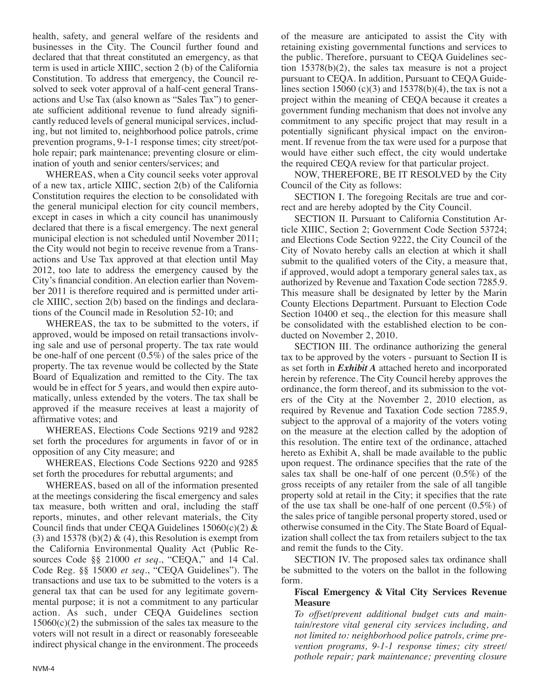health, safety, and general welfare of the residents and businesses in the City. The Council further found and declared that that threat constituted an emergency, as that term is used in article XIIIC, section 2 (b) of the California Constitution. To address that emergency, the Council resolved to seek voter approval of a half-cent general Transactions and Use Tax (also known as "Sales Tax") to generate sufficient additional revenue to fund already significantly reduced levels of general municipal services, including, but not limited to, neighborhood police patrols, crime prevention programs, 9-1-1 response times; city street/pothole repair; park maintenance; preventing closure or elimination of youth and senior centers/services; and

WHEREAS, when a City council seeks voter approval of a new tax, article XIIIC, section 2(b) of the California Constitution requires the election to be consolidated with the general municipal election for city council members, except in cases in which a city council has unanimously declared that there is a fiscal emergency. The next general municipal election is not scheduled until November 2011; the City would not begin to receive revenue from a Transactions and Use Tax approved at that election until May 2012, too late to address the emergency caused by the City's financial condition. An election earlier than November 2011 is therefore required and is permitted under article XIIIC, section 2(b) based on the findings and declarations of the Council made in Resolution 52-10; and

WHEREAS, the tax to be submitted to the voters, if approved, would be imposed on retail transactions involving sale and use of personal property. The tax rate would be one-half of one percent  $(0.5\%)$  of the sales price of the property. The tax revenue would be collected by the State Board of Equalization and remitted to the City. The tax would be in effect for 5 years, and would then expire automatically, unless extended by the voters. The tax shall be approved if the measure receives at least a majority of affirmative votes; and

WHEREAS, Elections Code Sections 9219 and 9282 set forth the procedures for arguments in favor of or in opposition of any City measure; and

WHEREAS, Elections Code Sections 9220 and 9285 set forth the procedures for rebuttal arguments; and

WHEREAS, based on all of the information presented at the meetings considering the fiscal emergency and sales tax measure, both written and oral, including the staff reports, minutes, and other relevant materials, the City Council finds that under CEQA Guidelines  $15060(c)(2)$  & (3) and 15378 (b)(2)  $\&$  (4), this Resolution is exempt from the California Environmental Quality Act (Public Resources Code §§ 21000 *et seq*., "CEQA," and 14 Cal. Code Reg. §§ 15000 *et seq*., "CEQA Guidelines"). The transactions and use tax to be submitted to the voters is a general tax that can be used for any legitimate governmental purpose; it is not a commitment to any particular action. As such, under CEQA Guidelines section  $15060(c)(2)$  the submission of the sales tax measure to the voters will not result in a direct or reasonably foreseeable indirect physical change in the environment. The proceeds of the measure are anticipated to assist the City with retaining existing governmental functions and services to the public. Therefore, pursuant to CEQA Guidelines section 15378(b)(2), the sales tax measure is not a project pursuant to CEQA. In addition, Pursuant to CEQA Guidelines section 15060 (c)(3) and 15378(b)(4), the tax is not a project within the meaning of CEQA because it creates a government funding mechanism that does not involve any commitment to any specific project that may result in a potentially significant physical impact on the environment. If revenue from the tax were used for a purpose that would have either such effect, the city would undertake the required CEQA review for that particular project.

NOW, THEREFORE, BE IT RESOLVED by the City Council of the City as follows:

SECTION I. The foregoing Recitals are true and correct and are hereby adopted by the City Council.

SECTION II. Pursuant to California Constitution Article XIIIC, Section 2; Government Code Section 53724; and Elections Code Section 9222, the City Council of the City of Novato hereby calls an election at which it shall submit to the qualified voters of the City, a measure that, if approved, would adopt a temporary general sales tax, as authorized by Revenue and Taxation Code section 7285.9. This measure shall be designated by letter by the Marin County Elections Department. Pursuant to Election Code Section 10400 et seq., the election for this measure shall be consolidated with the established election to be conducted on November 2, 2010.

SECTION III. The ordinance authorizing the general tax to be approved by the voters - pursuant to Section II is as set forth in *Exhibit A* attached hereto and incorporated herein by reference. The City Council hereby approves the ordinance, the form thereof, and its submission to the voters of the City at the November 2, 2010 election, as required by Revenue and Taxation Code section 7285.9, subject to the approval of a majority of the voters voting on the measure at the election called by the adoption of this resolution. The entire text of the ordinance, attached hereto as Exhibit A, shall be made available to the public upon request. The ordinance specifies that the rate of the sales tax shall be one-half of one percent  $(0.5\%)$  of the gross receipts of any retailer from the sale of all tangible property sold at retail in the City; it specifies that the rate of the use tax shall be one-half of one percent (0.5%) of the sales price of tangible personal property stored, used or otherwise consumed in the City. The State Board of Equalization shall collect the tax from retailers subject to the tax and remit the funds to the City.

SECTION IV. The proposed sales tax ordinance shall be submitted to the voters on the ballot in the following form.

#### **Fiscal Emergency & Vital City Services Revenue Measure**

*To offset/prevent additional budget cuts and maintain/restore vital general city services including, and not limited to: neighborhood police patrols, crime prevention programs, 9-1-1 response times; city street/ pothole repair; park maintenance; preventing closure*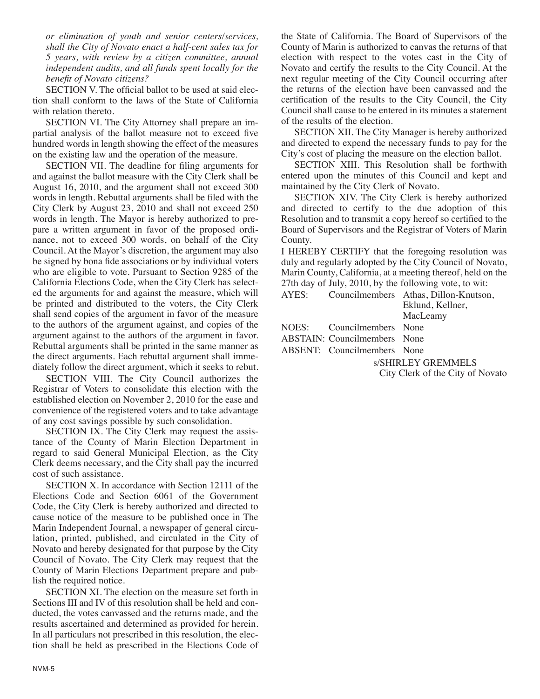*or elimination of youth and senior centers/services, shall the City of Novato enact a half-cent sales tax for 5 years, with review by a citizen committee, annual independent audits, and all funds spent locally for the benefit of Novato citizens?*

SECTION V. The official ballot to be used at said election shall conform to the laws of the State of California with relation thereto.

SECTION VI. The City Attorney shall prepare an impartial analysis of the ballot measure not to exceed five hundred words in length showing the effect of the measures on the existing law and the operation of the measure.

SECTION VII. The deadline for filing arguments for and against the ballot measure with the City Clerk shall be August 16, 2010, and the argument shall not exceed 300 words in length. Rebuttal arguments shall be filed with the City Clerk by August 23, 2010 and shall not exceed 250 words in length. The Mayor is hereby authorized to prepare a written argument in favor of the proposed ordinance, not to exceed 300 words, on behalf of the City Council. At the Mayor's discretion, the argument may also be signed by bona fide associations or by individual voters who are eligible to vote. Pursuant to Section 9285 of the California Elections Code, when the City Clerk has selected the arguments for and against the measure, which will be printed and distributed to the voters, the City Clerk shall send copies of the argument in favor of the measure to the authors of the argument against, and copies of the argument against to the authors of the argument in favor. Rebuttal arguments shall be printed in the same manner as the direct arguments. Each rebuttal argument shall immediately follow the direct argument, which it seeks to rebut.

SECTION VIII. The City Council authorizes the Registrar of Voters to consolidate this election with the established election on November 2, 2010 for the ease and convenience of the registered voters and to take advantage of any cost savings possible by such consolidation.

SECTION IX. The City Clerk may request the assistance of the County of Marin Election Department in regard to said General Municipal Election, as the City Clerk deems necessary, and the City shall pay the incurred cost of such assistance.

SECTION X. In accordance with Section 12111 of the Elections Code and Section 6061 of the Government Code, the City Clerk is hereby authorized and directed to cause notice of the measure to be published once in The Marin Independent Journal, a newspaper of general circulation, printed, published, and circulated in the City of Novato and hereby designated for that purpose by the City Council of Novato. The City Clerk may request that the County of Marin Elections Department prepare and publish the required notice.

SECTION XI. The election on the measure set forth in Sections III and IV of this resolution shall be held and conducted, the votes canvassed and the returns made, and the results ascertained and determined as provided for herein. In all particulars not prescribed in this resolution, the election shall be held as prescribed in the Elections Code of the State of California. The Board of Supervisors of the County of Marin is authorized to canvas the returns of that election with respect to the votes cast in the City of Novato and certify the results to the City Council. At the next regular meeting of the City Council occurring after the returns of the election have been canvassed and the certification of the results to the City Council, the City Council shall cause to be entered in its minutes a statement of the results of the election.

SECTION XII. The City Manager is hereby authorized and directed to expend the necessary funds to pay for the City's cost of placing the measure on the election ballot.

SECTION XIII. This Resolution shall be forthwith entered upon the minutes of this Council and kept and maintained by the City Clerk of Novato.

SECTION XIV. The City Clerk is hereby authorized and directed to certify to the due adoption of this Resolution and to transmit a copy hereof so certified to the Board of Supervisors and the Registrar of Voters of Marin County.

I HEREBY CERTIFY that the foregoing resolution was duly and regularly adopted by the City Council of Novato, Marin County, California, at a meeting thereof, held on the 27th day of July, 2010, by the following vote, to wit:

| AYES: |                                                   | Councilmembers Athas, Dillon-Knutson, |
|-------|---------------------------------------------------|---------------------------------------|
|       |                                                   | Eklund, Kellner,                      |
|       |                                                   | MacLeamy                              |
| MDER  | $C_{\text{max}}$ 1. $\sim$ 1. $\sim$ 1. $\sim$ 1. |                                       |

NOES: Councilmembers None

ABSTAIN: Councilmembers None

ABSENT: Councilmembers None

s/SHIRLEY GREMMELS

City Clerk of the City of Novato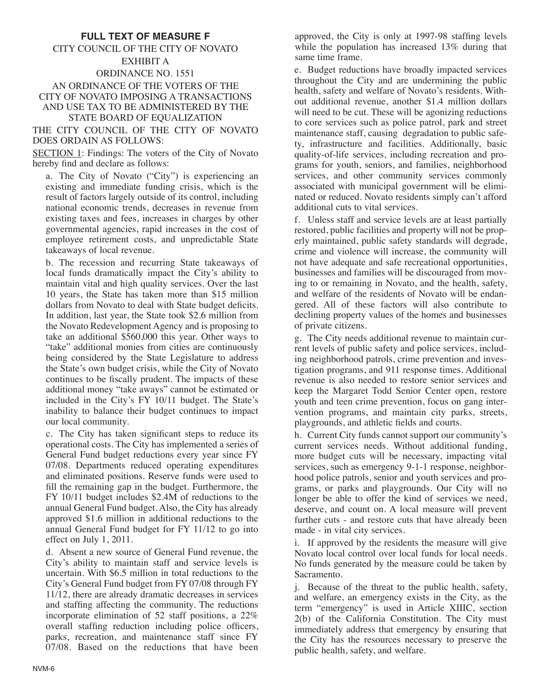### **FULL TEXT OF MEASURE F**

### CITY COUNCIL OF THE CITY OF NOVATO EXHIBIT A ORDINANCE NO. 1551 AN ORDINANCE OF THE VOTERS OF THE CITY OF NOVATO IMPOSING A TRANSACTIONS AND USE TAX TO BE ADMINISTERED BY THE

STATE BOARD OF EQUALIZATION

#### THE CITY COUNCIL OF THE CITY OF NOVATO DOES ORDAIN AS FOLLOWS:

SECTION 1: Findings: The voters of the City of Novato hereby find and declare as follows:

a. The City of Novato ("City") is experiencing an existing and immediate funding crisis, which is the result of factors largely outside of its control, including national economic trends, decreases in revenue from existing taxes and fees, increases in charges by other governmental agencies, rapid increases in the cost of employee retirement costs, and unpredictable State takeaways of local revenue.

b. The recession and recurring State takeaways of local funds dramatically impact the City's ability to maintain vital and high quality services. Over the last 10 years, the State has taken more than \$15 million dollars from Novato to deal with State budget deficits. In addition, last year, the State took \$2.6 million from the Novato Redevelopment Agency and is proposing to take an additional \$560,000 this year. Other ways to "take" additional monies from cities are continuously being considered by the State Legislature to address the State's own budget crisis, while the City of Novato continues to be fiscally prudent. The impacts of these additional money "take aways" cannot be estimated or included in the City's FY 10/11 budget. The State's inability to balance their budget continues to impact our local community.

c. The City has taken significant steps to reduce its operational costs. The City has implemented a series of General Fund budget reductions every year since FY 07/08. Departments reduced operating expenditures and eliminated positions. Reserve funds were used to fill the remaining gap in the budget. Furthermore, the FY 10/11 budget includes \$2.4M of reductions to the annual General Fund budget. Also, the City has already approved \$1.6 million in additional reductions to the annual General Fund budget for FY 11/12 to go into effect on July 1, 2011.

d. Absent a new source of General Fund revenue, the City's ability to maintain staff and service levels is uncertain. With \$6.5 million in total reductions to the City's General Fund budget from FY 07/08 through FY 11/12, there are already dramatic decreases in services and staffing affecting the community. The reductions incorporate elimination of 52 staff positions, a 22% overall staffing reduction including police officers, parks, recreation, and maintenance staff since FY 07/08. Based on the reductions that have been approved, the City is only at 1997-98 staffing levels while the population has increased 13% during that same time frame.

e. Budget reductions have broadly impacted services throughout the City and are undermining the public health, safety and welfare of Novato's residents. Without additional revenue, another \$1.4 million dollars will need to be cut. These will be agonizing reductions to core services such as police patrol, park and street maintenance staff, causing degradation to public safety, infrastructure and facilities. Additionally, basic quality-of-life services, including recreation and programs for youth, seniors, and families, neighborhood services, and other community services commonly associated with municipal government will be eliminated or reduced. Novato residents simply can't afford additional cuts to vital services.

f. Unless staff and service levels are at least partially restored, public facilities and property will not be properly maintained, public safety standards will degrade, crime and violence will increase, the community will not have adequate and safe recreational opportunities, businesses and families will be discouraged from moving to or remaining in Novato, and the health, safety, and welfare of the residents of Novato will be endangered. All of these factors will also contribute to declining property values of the homes and businesses of private citizens.

g. The City needs additional revenue to maintain current levels of public safety and police services, including neighborhood patrols, crime prevention and investigation programs, and 911 response times. Additional revenue is also needed to restore senior services and keep the Margaret Todd Senior Center open, restore youth and teen crime prevention, focus on gang intervention programs, and maintain city parks, streets, playgrounds, and athletic fields and courts.

h. Current City funds cannot support our community's current services needs. Without additional funding, more budget cuts will be necessary, impacting vital services, such as emergency 9-1-1 response, neighborhood police patrols, senior and youth services and programs, or parks and playgrounds. Our City will no longer be able to offer the kind of services we need, deserve, and count on. A local measure will prevent further cuts - and restore cuts that have already been made - in vital city services.

i. If approved by the residents the measure will give Novato local control over local funds for local needs. No funds generated by the measure could be taken by Sacramento.

j. Because of the threat to the public health, safety, and welfare, an emergency exists in the City, as the term "emergency" is used in Article XIIIC, section 2(b) of the California Constitution. The City must immediately address that emergency by ensuring that the City has the resources necessary to preserve the public health, safety, and welfare.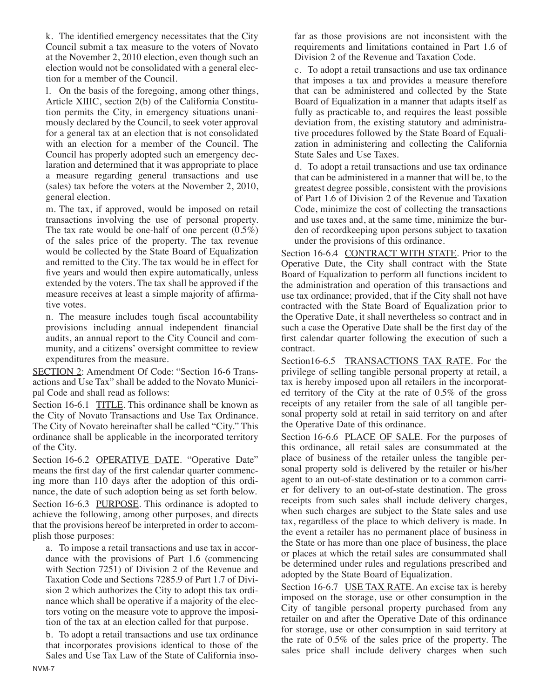k. The identified emergency necessitates that the City Council submit a tax measure to the voters of Novato at the November 2, 2010 election, even though such an election would not be consolidated with a general election for a member of the Council.

l. On the basis of the foregoing, among other things, Article XIIIC, section 2(b) of the California Constitution permits the City, in emergency situations unanimously declared by the Council, to seek voter approval for a general tax at an election that is not consolidated with an election for a member of the Council. The Council has properly adopted such an emergency declaration and determined that it was appropriate to place a measure regarding general transactions and use (sales) tax before the voters at the November 2, 2010, general election.

m. The tax, if approved, would be imposed on retail transactions involving the use of personal property. The tax rate would be one-half of one percent  $(0.5\%)$ of the sales price of the property. The tax revenue would be collected by the State Board of Equalization and remitted to the City. The tax would be in effect for five years and would then expire automatically, unless extended by the voters. The tax shall be approved if the measure receives at least a simple majority of affirmative votes.

n. The measure includes tough fiscal accountability provisions including annual independent financial audits, an annual report to the City Council and community, and a citizens' oversight committee to review expenditures from the measure.

SECTION 2: Amendment Of Code: "Section 16-6 Transactions and Use Tax" shall be added to the Novato Municipal Code and shall read as follows:

Section 16-6.1 TITLE. This ordinance shall be known as the City of Novato Transactions and Use Tax Ordinance. The City of Novato hereinafter shall be called "City." This ordinance shall be applicable in the incorporated territory of the City.

Section 16-6.2 OPERATIVE DATE. "Operative Date" means the first day of the first calendar quarter commencing more than 110 days after the adoption of this ordinance, the date of such adoption being as set forth below. Section 16-6.3 PURPOSE. This ordinance is adopted to achieve the following, among other purposes, and directs that the provisions hereof be interpreted in order to accomplish those purposes:

a. To impose a retail transactions and use tax in accordance with the provisions of Part 1.6 (commencing with Section 7251) of Division 2 of the Revenue and Taxation Code and Sections 7285.9 of Part 1.7 of Division 2 which authorizes the City to adopt this tax ordinance which shall be operative if a majority of the electors voting on the measure vote to approve the imposition of the tax at an election called for that purpose.

b. To adopt a retail transactions and use tax ordinance that incorporates provisions identical to those of the Sales and Use Tax Law of the State of California insofar as those provisions are not inconsistent with the requirements and limitations contained in Part 1.6 of Division 2 of the Revenue and Taxation Code.

c. To adopt a retail transactions and use tax ordinance that imposes a tax and provides a measure therefore that can be administered and collected by the State Board of Equalization in a manner that adapts itself as fully as practicable to, and requires the least possible deviation from, the existing statutory and administrative procedures followed by the State Board of Equalization in administering and collecting the California State Sales and Use Taxes.

d. To adopt a retail transactions and use tax ordinance that can be administered in a manner that will be, to the greatest degree possible, consistent with the provisions of Part 1.6 of Division 2 of the Revenue and Taxation Code, minimize the cost of collecting the transactions and use taxes and, at the same time, minimize the burden of recordkeeping upon persons subject to taxation under the provisions of this ordinance.

Section 16-6.4 CONTRACT WITH STATE. Prior to the Operative Date, the City shall contract with the State Board of Equalization to perform all functions incident to the administration and operation of this transactions and use tax ordinance; provided, that if the City shall not have contracted with the State Board of Equalization prior to the Operative Date, it shall nevertheless so contract and in such a case the Operative Date shall be the first day of the first calendar quarter following the execution of such a contract.

Section16-6.5 TRANSACTIONS TAX RATE. For the privilege of selling tangible personal property at retail, a tax is hereby imposed upon all retailers in the incorporated territory of the City at the rate of 0.5% of the gross receipts of any retailer from the sale of all tangible personal property sold at retail in said territory on and after the Operative Date of this ordinance.

Section 16-6.6 PLACE OF SALE. For the purposes of this ordinance, all retail sales are consummated at the place of business of the retailer unless the tangible personal property sold is delivered by the retailer or his/her agent to an out-of-state destination or to a common carrier for delivery to an out-of-state destination. The gross receipts from such sales shall include delivery charges, when such charges are subject to the State sales and use tax, regardless of the place to which delivery is made. In the event a retailer has no permanent place of business in the State or has more than one place of business, the place or places at which the retail sales are consummated shall be determined under rules and regulations prescribed and adopted by the State Board of Equalization.

Section 16-6.7 USE TAX RATE. An excise tax is hereby imposed on the storage, use or other consumption in the City of tangible personal property purchased from any retailer on and after the Operative Date of this ordinance for storage, use or other consumption in said territory at the rate of 0.5% of the sales price of the property. The sales price shall include delivery charges when such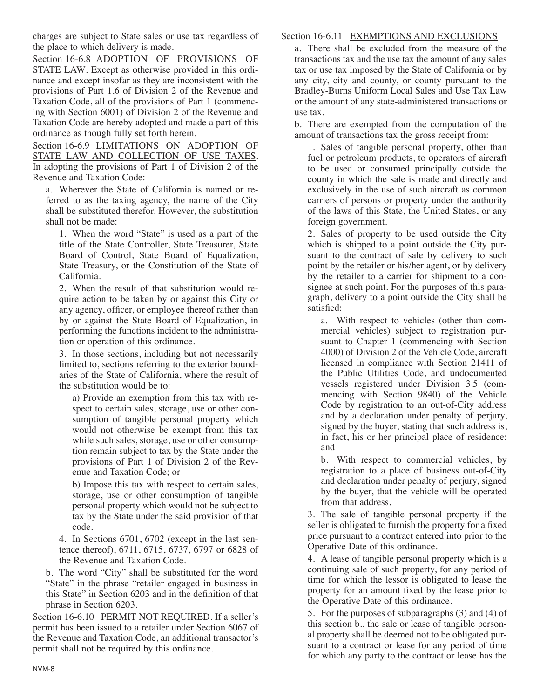charges are subject to State sales or use tax regardless of the place to which delivery is made.

Section 16-6.8 ADOPTION OF PROVISIONS OF STATE LAW. Except as otherwise provided in this ordinance and except insofar as they are inconsistent with the provisions of Part 1.6 of Division 2 of the Revenue and Taxation Code, all of the provisions of Part 1 (commencing with Section 6001) of Division 2 of the Revenue and Taxation Code are hereby adopted and made a part of this ordinance as though fully set forth herein.

Section 16-6.9 LIMITATIONS ON ADOPTION OF STATE LAW AND COLLECTION OF USE TAXES. In adopting the provisions of Part 1 of Division 2 of the Revenue and Taxation Code:

a. Wherever the State of California is named or referred to as the taxing agency, the name of the City shall be substituted therefor. However, the substitution shall not be made:

1. When the word "State" is used as a part of the title of the State Controller, State Treasurer, State Board of Control, State Board of Equalization, State Treasury, or the Constitution of the State of California.

2. When the result of that substitution would require action to be taken by or against this City or any agency, officer, or employee thereof rather than by or against the State Board of Equalization, in performing the functions incident to the administration or operation of this ordinance.

3. In those sections, including but not necessarily limited to, sections referring to the exterior boundaries of the State of California, where the result of the substitution would be to:

a) Provide an exemption from this tax with respect to certain sales, storage, use or other consumption of tangible personal property which would not otherwise be exempt from this tax while such sales, storage, use or other consumption remain subject to tax by the State under the provisions of Part 1 of Division 2 of the Revenue and Taxation Code; or

b) Impose this tax with respect to certain sales, storage, use or other consumption of tangible personal property which would not be subject to tax by the State under the said provision of that code.

4. In Sections 6701, 6702 (except in the last sentence thereof), 6711, 6715, 6737, 6797 or 6828 of the Revenue and Taxation Code.

b. The word "City" shall be substituted for the word "State" in the phrase "retailer engaged in business in this State" in Section 6203 and in the definition of that phrase in Section 6203.

Section 16-6.10 PERMIT NOT REQUIRED. If a seller's permit has been issued to a retailer under Section 6067 of the Revenue and Taxation Code, an additional transactor's permit shall not be required by this ordinance.

### Section 16-6.11 EXEMPTIONS AND EXCLUSIONS

a. There shall be excluded from the measure of the transactions tax and the use tax the amount of any sales tax or use tax imposed by the State of California or by any city, city and county, or county pursuant to the Bradley-Burns Uniform Local Sales and Use Tax Law or the amount of any state-administered transactions or use tax.

b. There are exempted from the computation of the amount of transactions tax the gross receipt from:

1. Sales of tangible personal property, other than fuel or petroleum products, to operators of aircraft to be used or consumed principally outside the county in which the sale is made and directly and exclusively in the use of such aircraft as common carriers of persons or property under the authority of the laws of this State, the United States, or any foreign government.

2. Sales of property to be used outside the City which is shipped to a point outside the City pursuant to the contract of sale by delivery to such point by the retailer or his/her agent, or by delivery by the retailer to a carrier for shipment to a consignee at such point. For the purposes of this paragraph, delivery to a point outside the City shall be satisfied:

a. With respect to vehicles (other than commercial vehicles) subject to registration pursuant to Chapter 1 (commencing with Section 4000) of Division 2 of the Vehicle Code, aircraft licensed in compliance with Section 21411 of the Public Utilities Code, and undocumented vessels registered under Division 3.5 (commencing with Section 9840) of the Vehicle Code by registration to an out-of-City address and by a declaration under penalty of perjury, signed by the buyer, stating that such address is, in fact, his or her principal place of residence; and

b. With respect to commercial vehicles, by registration to a place of business out-of-City and declaration under penalty of perjury, signed by the buyer, that the vehicle will be operated from that address.

3. The sale of tangible personal property if the seller is obligated to furnish the property for a fixed price pursuant to a contract entered into prior to the Operative Date of this ordinance.

4. A lease of tangible personal property which is a continuing sale of such property, for any period of time for which the lessor is obligated to lease the property for an amount fixed by the lease prior to the Operative Date of this ordinance.

5. For the purposes of subparagraphs (3) and (4) of this section b., the sale or lease of tangible personal property shall be deemed not to be obligated pursuant to a contract or lease for any period of time for which any party to the contract or lease has the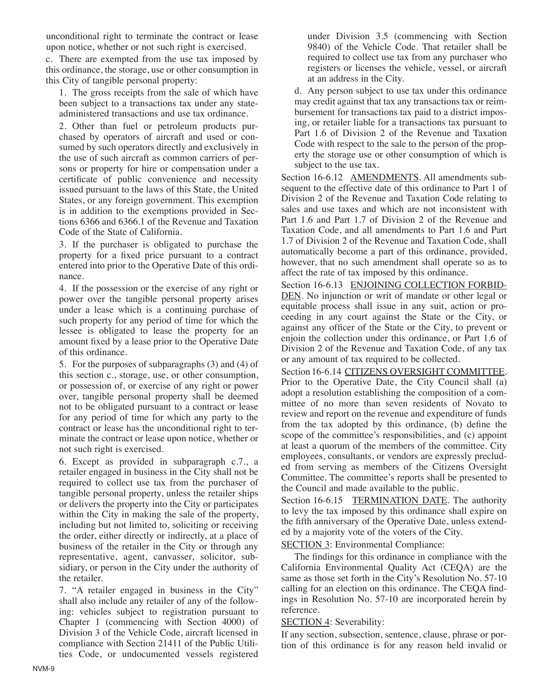unconditional right to terminate the contract or lease upon notice, whether or not such right is exercised.

c. There are exempted from the use tax imposed by this ordinance, the storage, use or other consumption in this City of tangible personal property:

1. The gross receipts from the sale of which have been subject to a transactions tax under any stateadministered transactions and use tax ordinance.

2. Other than fuel or petroleum products purchased by operators of aircraft and used or consumed by such operators directly and exclusively in the use of such aircraft as common carriers of persons or property for hire or compensation under a certificate of public convenience and necessity issued pursuant to the laws of this State, the United States, or any foreign government. This exemption is in addition to the exemptions provided in Sections 6366 and 6366.1 of the Revenue and Taxation Code of the State of California.

3. If the purchaser is obligated to purchase the property for a fixed price pursuant to a contract entered into prior to the Operative Date of this ordinance.

4. If the possession or the exercise of any right or power over the tangible personal property arises under a lease which is a continuing purchase of such property for any period of time for which the lessee is obligated to lease the property for an amount fixed by a lease prior to the Operative Date of this ordinance.

5. For the purposes of subparagraphs (3) and (4) of this section c., storage, use, or other consumption, or possession of, or exercise of any right or power over, tangible personal property shall be deemed not to be obligated pursuant to a contract or lease for any period of time for which any party to the contract or lease has the unconditional right to terminate the contract or lease upon notice, whether or not such right is exercised.

6. Except as provided in subparagraph c.7., a retailer engaged in business in the City shall not be required to collect use tax from the purchaser of tangible personal property, unless the retailer ships or delivers the property into the City or participates within the City in making the sale of the property, including but not limited to, soliciting or receiving the order, either directly or indirectly, at a place of business of the retailer in the City or through any representative, agent, canvasser, solicitor, subsidiary, or person in the City under the authority of the retailer.

7. "A retailer engaged in business in the City" shall also include any retailer of any of the following: vehicles subject to registration pursuant to Chapter 1 (commencing with Section 4000) of Division 3 of the Vehicle Code, aircraft licensed in compliance with Section 21411 of the Public Utilities Code, or undocumented vessels registered under Division 3.5 (commencing with Section 9840) of the Vehicle Code. That retailer shall be required to collect use tax from any purchaser who registers or licenses the vehicle, vessel, or aircraft at an address in the City.

d. Any person subject to use tax under this ordinance may credit against that tax any transactions tax or reimbursement for transactions tax paid to a district imposing, or retailer liable for a transactions tax pursuant to Part 1.6 of Division 2 of the Revenue and Taxation Code with respect to the sale to the person of the property the storage use or other consumption of which is subject to the use tax.

Section 16-6.12 AMENDMENTS. All amendments subsequent to the effective date of this ordinance to Part 1 of Division 2 of the Revenue and Taxation Code relating to sales and use taxes and which are not inconsistent with Part 1.6 and Part 1.7 of Division 2 of the Revenue and Taxation Code, and all amendments to Part 1.6 and Part 1.7 of Division 2 of the Revenue and Taxation Code, shall automatically become a part of this ordinance, provided, however, that no such amendment shall operate so as to affect the rate of tax imposed by this ordinance.

Section 16-6.13 ENJOINING COLLECTION FORBID-DEN. No injunction or writ of mandate or other legal or equitable process shall issue in any suit, action or proceeding in any court against the State or the City, or against any officer of the State or the City, to prevent or enjoin the collection under this ordinance, or Part 1.6 of Division 2 of the Revenue and Taxation Code, of any tax or any amount of tax required to be collected.

Section 16-6.14 CITIZENS OVERSIGHT COMMITTEE. Prior to the Operative Date, the City Council shall (a) adopt a resolution establishing the composition of a committee of no more than seven residents of Novato to review and report on the revenue and expenditure of funds from the tax adopted by this ordinance, (b) define the scope of the committee's responsibilities, and (c) appoint at least a quorum of the members of the committee. City employees, consultants, or vendors are expressly precluded from serving as members of the Citizens Oversight Committee. The committee's reports shall be presented to the Council and made available to the public.

Section 16-6.15 TERMINATION DATE. The authority to levy the tax imposed by this ordinance shall expire on the fifth anniversary of the Operative Date, unless extended by a majority vote of the voters of the City.

SECTION 3: Environmental Compliance:

The findings for this ordinance in compliance with the California Environmental Quality Act (CEQA) are the same as those set forth in the City's Resolution No. 57-10 calling for an election on this ordinance. The CEQA findings in Resolution No. 57-10 are incorporated herein by reference.

SECTION 4: Severability:

If any section, subsection, sentence, clause, phrase or portion of this ordinance is for any reason held invalid or